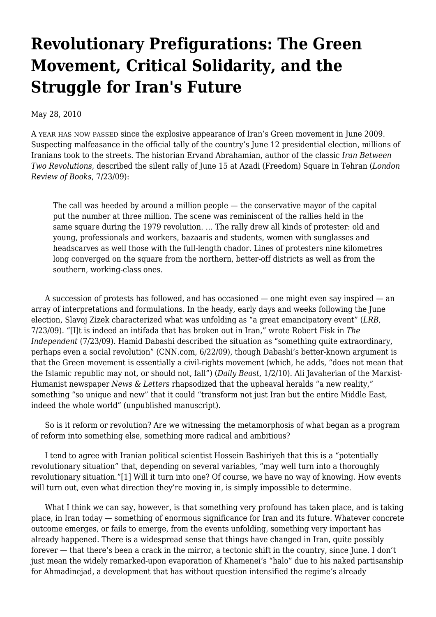# **[Revolutionary Prefigurations: The Green](https://newpol.org/issue_post/revolutionary-prefigurations-green-movement-critical-solidarity-and-struggle-irans-future/) [Movement, Critical Solidarity, and the](https://newpol.org/issue_post/revolutionary-prefigurations-green-movement-critical-solidarity-and-struggle-irans-future/) [Struggle for Iran's Future](https://newpol.org/issue_post/revolutionary-prefigurations-green-movement-critical-solidarity-and-struggle-irans-future/)**

May 28, 2010

A YEAR HAS NOW PASSED since the explosive appearance of Iran's Green movement in June 2009. Suspecting malfeasance in the official tally of the country's June 12 presidential election, millions of Iranians took to the streets. The historian Ervand Abrahamian, author of the classic *Iran Between Two Revolutions*, described the silent rally of June 15 at Azadi (Freedom) Square in Tehran (*London Review of Books*, 7/23/09):

The call was heeded by around a million people — the conservative mayor of the capital put the number at three million. The scene was reminiscent of the rallies held in the same square during the 1979 revolution. … The rally drew all kinds of protester: old and young, professionals and workers, bazaaris and students, women with sunglasses and headscarves as well those with the full-length chador. Lines of protesters nine kilometres long converged on the square from the northern, better-off districts as well as from the southern, working-class ones.

 A succession of protests has followed, and has occasioned — one might even say inspired — an array of interpretations and formulations. In the heady, early days and weeks following the June election, Slavoj Zizek characterized what was unfolding as "a great emancipatory event" (*LRB*, 7/23/09). "[I]t is indeed an intifada that has broken out in Iran," wrote Robert Fisk in *The Independent* (7/23/09). Hamid Dabashi described the situation as "something quite extraordinary, perhaps even a social revolution" (CNN.com, 6/22/09), though Dabashi's better-known argument is that the Green movement is essentially a civil-rights movement (which, he adds, "does not mean that the Islamic republic may not, or should not, fall") (*Daily Beast*, 1/2/10). Ali Javaherian of the Marxist-Humanist newspaper *News & Letters* rhapsodized that the upheaval heralds "a new reality," something "so unique and new" that it could "transform not just Iran but the entire Middle East, indeed the whole world" (unpublished manuscript).

 So is it reform or revolution? Are we witnessing the metamorphosis of what began as a program of reform into something else, something more radical and ambitious?

 I tend to agree with Iranian political scientist Hossein Bashiriyeh that this is a "potentially revolutionary situation" that, depending on several variables, "may well turn into a thoroughly revolutionary situation."[1] Will it turn into one? Of course, we have no way of knowing. How events will turn out, even what direction they're moving in, is simply impossible to determine.

What I think we can say, however, is that something very profound has taken place, and is taking place, in Iran today — something of enormous significance for Iran and its future. Whatever concrete outcome emerges, or fails to emerge, from the events unfolding, something very important has already happened. There is a widespread sense that things have changed in Iran, quite possibly forever — that there's been a crack in the mirror, a tectonic shift in the country, since June. I don't just mean the widely remarked-upon evaporation of Khamenei's "halo" due to his naked partisanship for Ahmadinejad, a development that has without question intensified the regime's already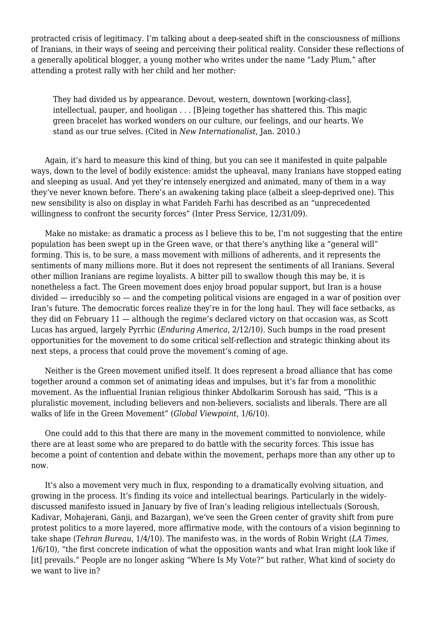protracted crisis of legitimacy. I'm talking about a deep-seated shift in the consciousness of millions of Iranians, in their ways of seeing and perceiving their political reality. Consider these reflections of a generally apolitical blogger, a young mother who writes under the name "Lady Plum," after attending a protest rally with her child and her mother:

They had divided us by appearance. Devout, western, downtown [working-class], intellectual, pauper, and hooligan . . . [B]eing together has shattered this. This magic green bracelet has worked wonders on our culture, our feelings, and our hearts. We stand as our true selves. (Cited in *New Internationalist*, Jan. 2010.)

 Again, it's hard to measure this kind of thing, but you can see it manifested in quite palpable ways, down to the level of bodily existence: amidst the upheaval, many Iranians have stopped eating and sleeping as usual. And yet they're intensely energized and animated, many of them in a way they've never known before. There's an awakening taking place (albeit a sleep-deprived one). This new sensibility is also on display in what Farideh Farhi has described as an "unprecedented willingness to confront the security forces" (Inter Press Service, 12/31/09).

 Make no mistake: as dramatic a process as I believe this to be, I'm not suggesting that the entire population has been swept up in the Green wave, or that there's anything like a "general will" forming. This is, to be sure, a mass movement with millions of adherents, and it represents the sentiments of many millions more. But it does not represent the sentiments of all Iranians. Several other million Iranians are regime loyalists. A bitter pill to swallow though this may be, it is nonetheless a fact. The Green movement does enjoy broad popular support, but Iran is a house divided — irreducibly so — and the competing political visions are engaged in a war of position over Iran's future. The democratic forces realize they're in for the long haul. They will face setbacks, as they did on February 11 — although the regime's declared victory on that occasion was, as Scott Lucas has argued, largely Pyrrhic (*Enduring America*, 2/12/10). Such bumps in the road present opportunities for the movement to do some critical self-reflection and strategic thinking about its next steps, a process that could prove the movement's coming of age.

 Neither is the Green movement unified itself. It does represent a broad alliance that has come together around a common set of animating ideas and impulses, but it's far from a monolithic movement. As the influential Iranian religious thinker Abdolkarim Soroush has said, "This is a pluralistic movement, including believers and non-believers, socialists and liberals. There are all walks of life in the Green Movement" (*Global Viewpoint*, 1/6/10).

 One could add to this that there are many in the movement committed to nonviolence, while there are at least some who are prepared to do battle with the security forces. This issue has become a point of contention and debate within the movement, perhaps more than any other up to now.

 It's also a movement very much in flux, responding to a dramatically evolving situation, and growing in the process. It's finding its voice and intellectual bearings. Particularly in the widelydiscussed manifesto issued in January by five of Iran's leading religious intellectuals (Soroush, Kadivar, Mohajerani, Ganji, and Bazargan), we've seen the Green center of gravity shift from pure protest politics to a more layered, more affirmative mode, with the contours of a vision beginning to take shape (*Tehran Bureau*, 1/4/10). The manifesto was, in the words of Robin Wright (*LA Times*, 1/6/10), "the first concrete indication of what the opposition wants and what Iran might look like if [it] prevails." People are no longer asking "Where Is My Vote?" but rather, What kind of society do we want to live in?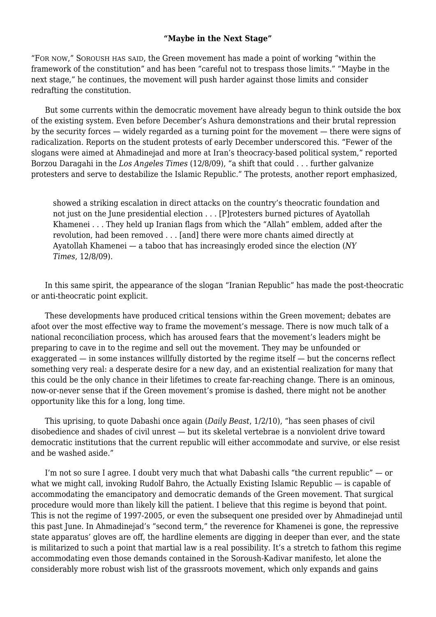#### **"Maybe in the Next Stage"**

"FOR NOW," SOROUSH HAS SAID, the Green movement has made a point of working "within the framework of the constitution" and has been "careful not to trespass those limits." "Maybe in the next stage," he continues, the movement will push harder against those limits and consider redrafting the constitution.

 But some currents within the democratic movement have already begun to think outside the box of the existing system. Even before December's Ashura demonstrations and their brutal repression by the security forces — widely regarded as a turning point for the movement — there were signs of radicalization. Reports on the student protests of early December underscored this. "Fewer of the slogans were aimed at Ahmadinejad and more at Iran's theocracy-based political system," reported Borzou Daragahi in the *Los Angeles Times* (12/8/09), "a shift that could . . . further galvanize protesters and serve to destabilize the Islamic Republic." The protests, another report emphasized,

showed a striking escalation in direct attacks on the country's theocratic foundation and not just on the June presidential election . . . [P]rotesters burned pictures of Ayatollah Khamenei . . . They held up Iranian flags from which the "Allah" emblem, added after the revolution, had been removed . . . [and] there were more chants aimed directly at Ayatollah Khamenei — a taboo that has increasingly eroded since the election (*NY Times*, 12/8/09).

 In this same spirit, the appearance of the slogan "Iranian Republic" has made the post-theocratic or anti-theocratic point explicit.

 These developments have produced critical tensions within the Green movement; debates are afoot over the most effective way to frame the movement's message. There is now much talk of a national reconciliation process, which has aroused fears that the movement's leaders might be preparing to cave in to the regime and sell out the movement. They may be unfounded or exaggerated — in some instances willfully distorted by the regime itself — but the concerns reflect something very real: a desperate desire for a new day, and an existential realization for many that this could be the only chance in their lifetimes to create far-reaching change. There is an ominous, now-or-never sense that if the Green movement's promise is dashed, there might not be another opportunity like this for a long, long time.

 This uprising, to quote Dabashi once again (*Daily Beast*, 1/2/10), "has seen phases of civil disobedience and shades of civil unrest — but its skeletal vertebrae is a nonviolent drive toward democratic institutions that the current republic will either accommodate and survive, or else resist and be washed aside."

I'm not so sure I agree. I doubt very much that what Dabashi calls "the current republic"  $-$  or what we might call, invoking Rudolf Bahro, the Actually Existing Islamic Republic — is capable of accommodating the emancipatory and democratic demands of the Green movement. That surgical procedure would more than likely kill the patient. I believe that this regime is beyond that point. This is not the regime of 1997-2005, or even the subsequent one presided over by Ahmadinejad until this past June. In Ahmadinejad's "second term," the reverence for Khamenei is gone, the repressive state apparatus' gloves are off, the hardline elements are digging in deeper than ever, and the state is militarized to such a point that martial law is a real possibility. It's a stretch to fathom this regime accommodating even those demands contained in the Soroush-Kadivar manifesto, let alone the considerably more robust wish list of the grassroots movement, which only expands and gains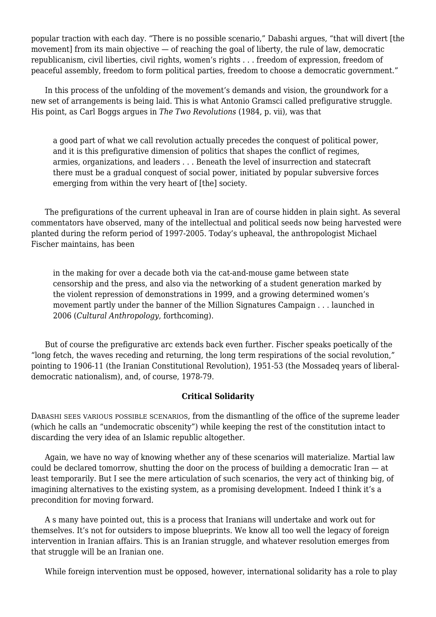popular traction with each day. "There is no possible scenario," Dabashi argues, "that will divert [the movement] from its main objective — of reaching the goal of liberty, the rule of law, democratic republicanism, civil liberties, civil rights, women's rights . . . freedom of expression, freedom of peaceful assembly, freedom to form political parties, freedom to choose a democratic government."

 In this process of the unfolding of the movement's demands and vision, the groundwork for a new set of arrangements is being laid. This is what Antonio Gramsci called prefigurative struggle. His point, as Carl Boggs argues in *The Two Revolutions* (1984, p. vii), was that

a good part of what we call revolution actually precedes the conquest of political power, and it is this prefigurative dimension of politics that shapes the conflict of regimes, armies, organizations, and leaders . . . Beneath the level of insurrection and statecraft there must be a gradual conquest of social power, initiated by popular subversive forces emerging from within the very heart of [the] society.

 The prefigurations of the current upheaval in Iran are of course hidden in plain sight. As several commentators have observed, many of the intellectual and political seeds now being harvested were planted during the reform period of 1997-2005. Today's upheaval, the anthropologist Michael Fischer maintains, has been

in the making for over a decade both via the cat-and-mouse game between state censorship and the press, and also via the networking of a student generation marked by the violent repression of demonstrations in 1999, and a growing determined women's movement partly under the banner of the Million Signatures Campaign . . . launched in 2006 (*Cultural Anthropology*, forthcoming).

 But of course the prefigurative arc extends back even further. Fischer speaks poetically of the "long fetch, the waves receding and returning, the long term respirations of the social revolution," pointing to 1906-11 (the Iranian Constitutional Revolution), 1951-53 (the Mossadeq years of liberaldemocratic nationalism), and, of course, 1978-79.

#### **Critical Solidarity**

DABASHI SEES VARIOUS POSSIBLE SCENARIOS, from the dismantling of the office of the supreme leader (which he calls an "undemocratic obscenity") while keeping the rest of the constitution intact to discarding the very idea of an Islamic republic altogether.

 Again, we have no way of knowing whether any of these scenarios will materialize. Martial law could be declared tomorrow, shutting the door on the process of building a democratic Iran — at least temporarily. But I see the mere articulation of such scenarios, the very act of thinking big, of imagining alternatives to the existing system, as a promising development. Indeed I think it's a precondition for moving forward.

 A s many have pointed out, this is a process that Iranians will undertake and work out for themselves. It's not for outsiders to impose blueprints. We know all too well the legacy of foreign intervention in Iranian affairs. This is an Iranian struggle, and whatever resolution emerges from that struggle will be an Iranian one.

While foreign intervention must be opposed, however, international solidarity has a role to play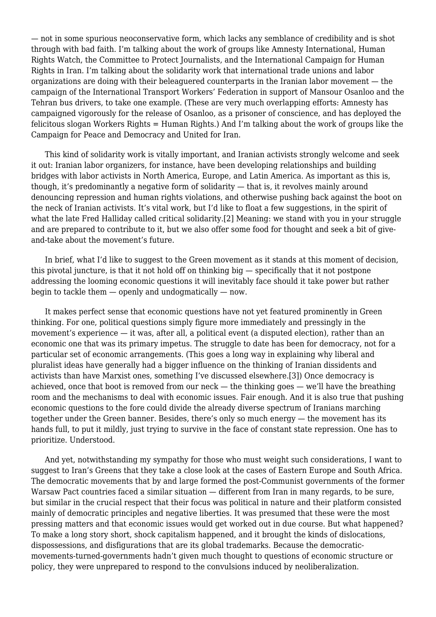— not in some spurious neoconservative form, which lacks any semblance of credibility and is shot through with bad faith. I'm talking about the work of groups like Amnesty International, Human Rights Watch, the Committee to Protect Journalists, and the International Campaign for Human Rights in Iran. I'm talking about the solidarity work that international trade unions and labor organizations are doing with their beleaguered counterparts in the Iranian labor movement — the campaign of the International Transport Workers' Federation in support of Mansour Osanloo and the Tehran bus drivers, to take one example. (These are very much overlapping efforts: Amnesty has campaigned vigorously for the release of Osanloo, as a prisoner of conscience, and has deployed the felicitous slogan Workers Rights = Human Rights.) And I'm talking about the work of groups like the Campaign for Peace and Democracy and United for Iran.

 This kind of solidarity work is vitally important, and Iranian activists strongly welcome and seek it out: Iranian labor organizers, for instance, have been developing relationships and building bridges with labor activists in North America, Europe, and Latin America. As important as this is, though, it's predominantly a negative form of solidarity — that is, it revolves mainly around denouncing repression and human rights violations, and otherwise pushing back against the boot on the neck of Iranian activists. It's vital work, but I'd like to float a few suggestions, in the spirit of what the late Fred Halliday called critical solidarity.[2] Meaning: we stand with you in your struggle and are prepared to contribute to it, but we also offer some food for thought and seek a bit of giveand-take about the movement's future.

In brief, what I'd like to suggest to the Green movement as it stands at this moment of decision, this pivotal juncture, is that it not hold off on thinking big — specifically that it not postpone addressing the looming economic questions it will inevitably face should it take power but rather begin to tackle them — openly and undogmatically — now.

 It makes perfect sense that economic questions have not yet featured prominently in Green thinking. For one, political questions simply figure more immediately and pressingly in the movement's experience — it was, after all, a political event (a disputed election), rather than an economic one that was its primary impetus. The struggle to date has been for democracy, not for a particular set of economic arrangements. (This goes a long way in explaining why liberal and pluralist ideas have generally had a bigger influence on the thinking of Iranian dissidents and activists than have Marxist ones, something I've discussed elsewhere.[3]) Once democracy is achieved, once that boot is removed from our neck — the thinking goes — we'll have the breathing room and the mechanisms to deal with economic issues. Fair enough. And it is also true that pushing economic questions to the fore could divide the already diverse spectrum of Iranians marching together under the Green banner. Besides, there's only so much energy — the movement has its hands full, to put it mildly, just trying to survive in the face of constant state repression. One has to prioritize. Understood.

 And yet, notwithstanding my sympathy for those who must weight such considerations, I want to suggest to Iran's Greens that they take a close look at the cases of Eastern Europe and South Africa. The democratic movements that by and large formed the post-Communist governments of the former Warsaw Pact countries faced a similar situation — different from Iran in many regards, to be sure, but similar in the crucial respect that their focus was political in nature and their platform consisted mainly of democratic principles and negative liberties. It was presumed that these were the most pressing matters and that economic issues would get worked out in due course. But what happened? To make a long story short, shock capitalism happened, and it brought the kinds of dislocations, dispossessions, and disfigurations that are its global trademarks. Because the democraticmovements-turned-governments hadn't given much thought to questions of economic structure or policy, they were unprepared to respond to the convulsions induced by neoliberalization.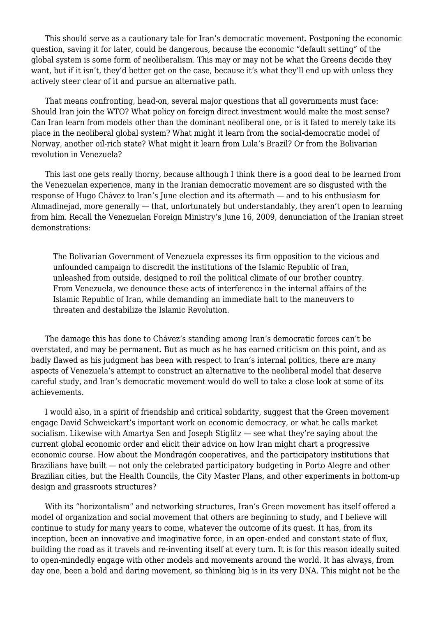This should serve as a cautionary tale for Iran's democratic movement. Postponing the economic question, saving it for later, could be dangerous, because the economic "default setting" of the global system is some form of neoliberalism. This may or may not be what the Greens decide they want, but if it isn't, they'd better get on the case, because it's what they'll end up with unless they actively steer clear of it and pursue an alternative path.

 That means confronting, head-on, several major questions that all governments must face: Should Iran join the WTO? What policy on foreign direct investment would make the most sense? Can Iran learn from models other than the dominant neoliberal one, or is it fated to merely take its place in the neoliberal global system? What might it learn from the social-democratic model of Norway, another oil-rich state? What might it learn from Lula's Brazil? Or from the Bolivarian revolution in Venezuela?

 This last one gets really thorny, because although I think there is a good deal to be learned from the Venezuelan experience, many in the Iranian democratic movement are so disgusted with the response of Hugo Chávez to Iran's June election and its aftermath — and to his enthusiasm for Ahmadinejad, more generally — that, unfortunately but understandably, they aren't open to learning from him. Recall the Venezuelan Foreign Ministry's June 16, 2009, denunciation of the Iranian street demonstrations:

The Bolivarian Government of Venezuela expresses its firm opposition to the vicious and unfounded campaign to discredit the institutions of the Islamic Republic of Iran, unleashed from outside, designed to roil the political climate of our brother country. From Venezuela, we denounce these acts of interference in the internal affairs of the Islamic Republic of Iran, while demanding an immediate halt to the maneuvers to threaten and destabilize the Islamic Revolution.

 The damage this has done to Chávez's standing among Iran's democratic forces can't be overstated, and may be permanent. But as much as he has earned criticism on this point, and as badly flawed as his judgment has been with respect to Iran's internal politics, there are many aspects of Venezuela's attempt to construct an alternative to the neoliberal model that deserve careful study, and Iran's democratic movement would do well to take a close look at some of its achievements.

 I would also, in a spirit of friendship and critical solidarity, suggest that the Green movement engage David Schweickart's important work on economic democracy, or what he calls market socialism. Likewise with Amartya Sen and Joseph Stiglitz — see what they're saying about the current global economic order and elicit their advice on how Iran might chart a progressive economic course. How about the Mondragón cooperatives, and the participatory institutions that Brazilians have built — not only the celebrated participatory budgeting in Porto Alegre and other Brazilian cities, but the Health Councils, the City Master Plans, and other experiments in bottom-up design and grassroots structures?

 With its "horizontalism" and networking structures, Iran's Green movement has itself offered a model of organization and social movement that others are beginning to study, and I believe will continue to study for many years to come, whatever the outcome of its quest. It has, from its inception, been an innovative and imaginative force, in an open-ended and constant state of flux, building the road as it travels and re-inventing itself at every turn. It is for this reason ideally suited to open-mindedly engage with other models and movements around the world. It has always, from day one, been a bold and daring movement, so thinking big is in its very DNA. This might not be the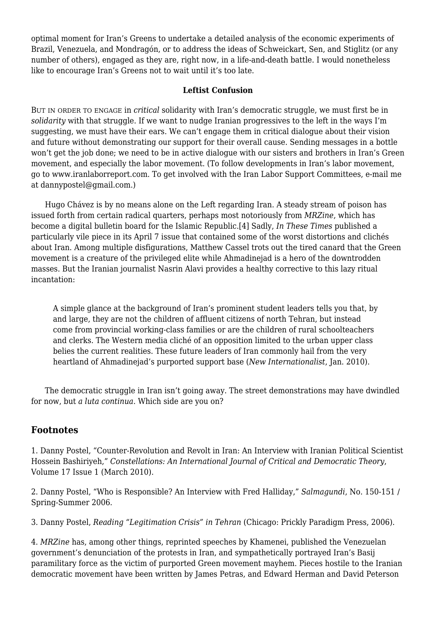optimal moment for Iran's Greens to undertake a detailed analysis of the economic experiments of Brazil, Venezuela, and Mondragón, or to address the ideas of Schweickart, Sen, and Stiglitz (or any number of others), engaged as they are, right now, in a life-and-death battle. I would nonetheless like to encourage Iran's Greens not to wait until it's too late.

### **Leftist Confusion**

BUT IN ORDER TO ENGAGE in *critical* solidarity with Iran's democratic struggle, we must first be in *solidarity* with that struggle. If we want to nudge Iranian progressives to the left in the ways I'm suggesting, we must have their ears. We can't engage them in critical dialogue about their vision and future without demonstrating our support for their overall cause. Sending messages in a bottle won't get the job done; we need to be in active dialogue with our sisters and brothers in Iran's Green movement, and especially the labor movement. (To follow developments in Iran's labor movement, go to www.iranlaborreport.com. To get involved with the Iran Labor Support Committees, e-mail me at dannypostel@gmail.com.)

 Hugo Chávez is by no means alone on the Left regarding Iran. A steady stream of poison has issued forth from certain radical quarters, perhaps most notoriously from *MRZine*, which has become a digital bulletin board for the Islamic Republic.[4] Sadly, *In These Times* published a particularly vile piece in its April 7 issue that contained some of the worst distortions and clichés about Iran. Among multiple disfigurations, Matthew Cassel trots out the tired canard that the Green movement is a creature of the privileged elite while Ahmadinejad is a hero of the downtrodden masses. But the Iranian journalist Nasrin Alavi provides a healthy corrective to this lazy ritual incantation:

A simple glance at the background of Iran's prominent student leaders tells you that, by and large, they are not the children of affluent citizens of north Tehran, but instead come from provincial working-class families or are the children of rural schoolteachers and clerks. The Western media cliché of an opposition limited to the urban upper class belies the current realities. These future leaders of Iran commonly hail from the very heartland of Ahmadinejad's purported support base (*New Internationalist*, Jan. 2010).

 The democratic struggle in Iran isn't going away. The street demonstrations may have dwindled for now, but *a luta continua*. Which side are you on?

## **Footnotes**

1. Danny Postel, "Counter-Revolution and Revolt in Iran: An Interview with Iranian Political Scientist Hossein Bashiriyeh," *Constellations: An International Journal of Critical and Democratic Theory*, Volume 17 Issue 1 (March 2010).

2. Danny Postel, ["Who is Responsible? An Interview with Fred Halliday](http://www.opendemocracy.net/danny-postel/who-is-responsible-interview-with-fred-halliday)," *Salmagundi*, No. 150-151 / Spring-Summer 2006.

3. Danny Postel, *Reading "Legitimation Crisis" in Tehran* (Chicago: Prickly Paradigm Press, 2006).

4. *MRZine* has, among other things, reprinted speeches by Khamenei, published the Venezuelan government's denunciation of the protests in Iran, and sympathetically portrayed Iran's Basij paramilitary force as the victim of purported Green movement mayhem. Pieces hostile to the Iranian democratic movement have been written by James Petras, and Edward Herman and David Peterson